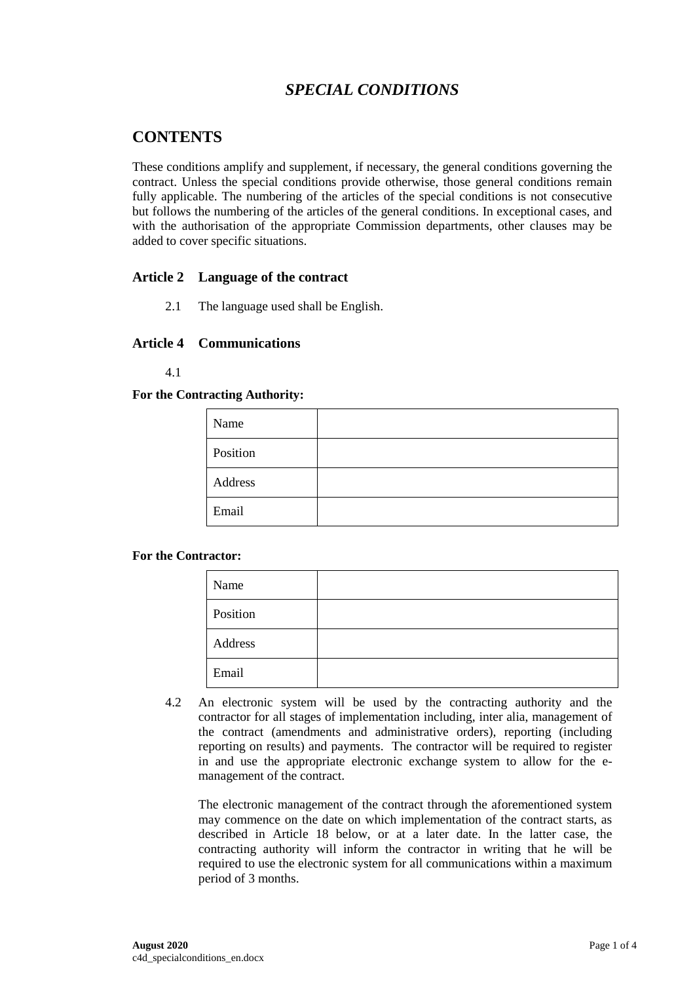# *SPECIAL CONDITIONS*

# **CONTENTS**

These conditions amplify and supplement, if necessary, the general conditions governing the contract. Unless the special conditions provide otherwise, those general conditions remain fully applicable. The numbering of the articles of the special conditions is not consecutive but follows the numbering of the articles of the general conditions. In exceptional cases, and with the authorisation of the appropriate Commission departments, other clauses may be added to cover specific situations.

# **Article 2 Language of the contract**

2.1 The language used shall be English.

#### **Article 4 Communications**

#### 4.1

#### **For the Contracting Authority:**

| Name     |  |
|----------|--|
| Position |  |
| Address  |  |
| Email    |  |

#### **For the Contractor:**

| Name     |  |
|----------|--|
| Position |  |
| Address  |  |
| Email    |  |

4.2 An electronic system will be used by the contracting authority and the contractor for all stages of implementation including, inter alia, management of the contract (amendments and administrative orders), reporting (including reporting on results) and payments. The contractor will be required to register in and use the appropriate electronic exchange system to allow for the emanagement of the contract.

The electronic management of the contract through the aforementioned system may commence on the date on which implementation of the contract starts, as described in Article 18 below, or at a later date. In the latter case, the contracting authority will inform the contractor in writing that he will be required to use the electronic system for all communications within a maximum period of 3 months.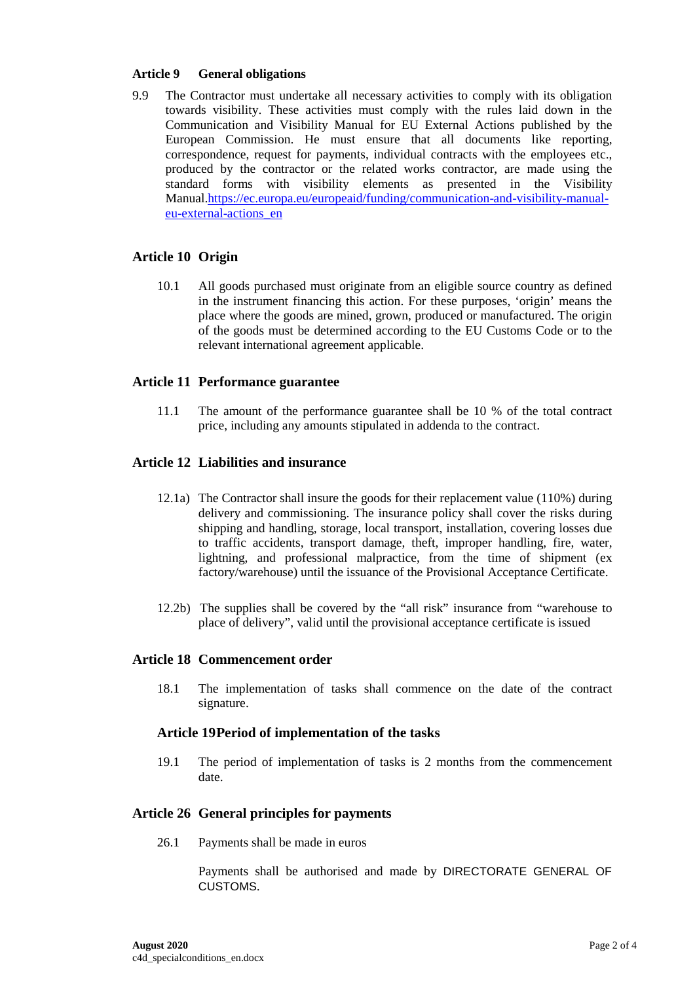#### **Article 9 General obligations**

9.9 The Contractor must undertake all necessary activities to comply with its obligation towards visibility. These activities must comply with the rules laid down in the Communication and Visibility Manual for EU External Actions published by the European Commission. He must ensure that all documents like reporting, correspondence, request for payments, individual contracts with the employees etc., produced by the contractor or the related works contractor, are made using the standard forms with visibility elements as presented in the Visibility Manual[.https://ec.europa.eu/europeaid/funding/communication-and-visibility-manual](https://ec.europa.eu/europeaid/funding/communication-and-visibility-manual-eu-external-actions_en)[eu-external-actions\\_en](https://ec.europa.eu/europeaid/funding/communication-and-visibility-manual-eu-external-actions_en)

# **Article 10 Origin**

10.1 All goods purchased must originate from an eligible source country as defined in the instrument financing this action. For these purposes, 'origin' means the place where the goods are mined, grown, produced or manufactured. The origin of the goods must be determined according to the EU Customs Code or to the relevant international agreement applicable.

#### **Article 11 Performance guarantee**

11.1 The amount of the performance guarantee shall be 10 % of the total contract price, including any amounts stipulated in addenda to the contract.

#### **Article 12 Liabilities and insurance**

- 12.1a) The Contractor shall insure the goods for their replacement value (110%) during delivery and commissioning. The insurance policy shall cover the risks during shipping and handling, storage, local transport, installation, covering losses due to traffic accidents, transport damage, theft, improper handling, fire, water, lightning, and professional malpractice, from the time of shipment (ex factory/warehouse) until the issuance of the Provisional Acceptance Certificate.
- 12.2b) The supplies shall be covered by the "all risk" insurance from "warehouse to place of delivery", valid until the provisional acceptance certificate is issued

#### **Article 18 Commencement order**

18.1 The implementation of tasks shall commence on the date of the contract signature.

#### **Article 19Period of implementation of the tasks**

19.1 The period of implementation of tasks is 2 months from the commencement date.

# **Article 26 General principles for payments**

26.1 Payments shall be made in euros

Payments shall be authorised and made by DIRECTORATE GENERAL OF CUSTOMS.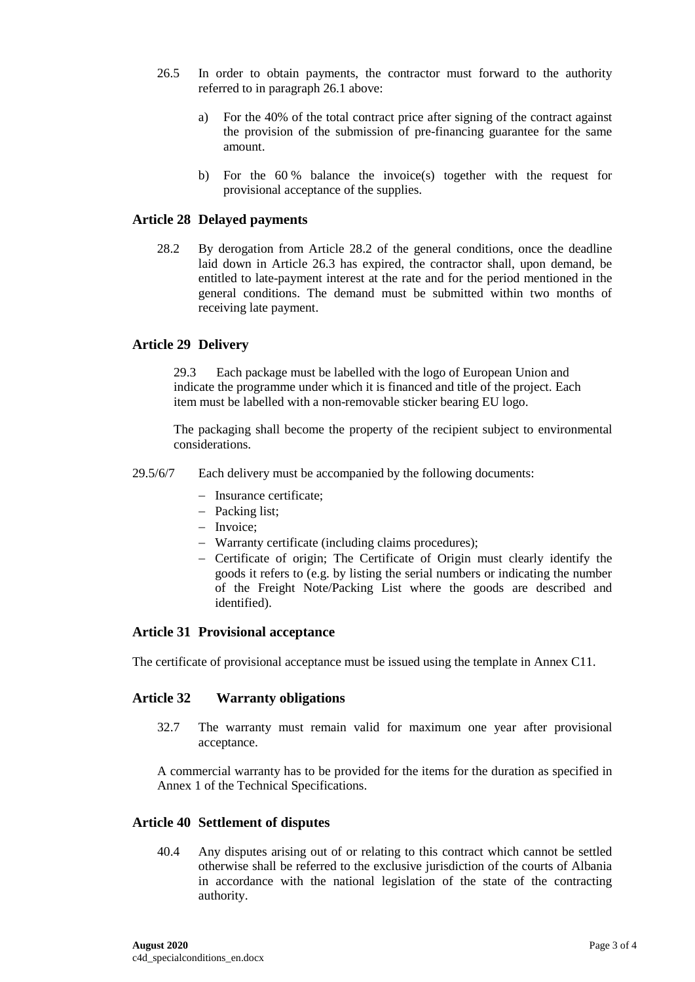- 26.5 In order to obtain payments, the contractor must forward to the authority referred to in paragraph 26.1 above:
	- a) For the 40% of the total contract price after signing of the contract against the provision of the submission of pre-financing guarantee for the same amount.
	- b) For the 60 % balance the invoice(s) together with the request for provisional acceptance of the supplies.

#### **Article 28 Delayed payments**

28.2 By derogation from Article 28.2 of the general conditions, once the deadline laid down in Article 26.3 has expired, the contractor shall, upon demand, be entitled to late-payment interest at the rate and for the period mentioned in the general conditions. The demand must be submitted within two months of receiving late payment.

#### **Article 29 Delivery**

29.3 Each package must be labelled with the logo of European Union and indicate the programme under which it is financed and title of the project. Each item must be labelled with a non-removable sticker bearing EU logo.

The packaging shall become the property of the recipient subject to environmental considerations.

- 29.5/6/7 Each delivery must be accompanied by the following documents:
	- − Insurance certificate;
	- − Packing list;
	- − Invoice;
	- − Warranty certificate (including claims procedures);
	- − Certificate of origin; The Certificate of Origin must clearly identify the goods it refers to (e.g. by listing the serial numbers or indicating the number of the Freight Note/Packing List where the goods are described and identified).

#### **Article 31 Provisional acceptance**

The certificate of provisional acceptance must be issued using the template in Annex C11.

# **Article 32 Warranty obligations**

32.7 The warranty must remain valid for maximum one year after provisional acceptance.

A commercial warranty has to be provided for the items for the duration as specified in Annex 1 of the Technical Specifications.

#### **Article 40 Settlement of disputes**

40.4 Any disputes arising out of or relating to this contract which cannot be settled otherwise shall be referred to the exclusive jurisdiction of the courts of Albania in accordance with the national legislation of the state of the contracting authority.